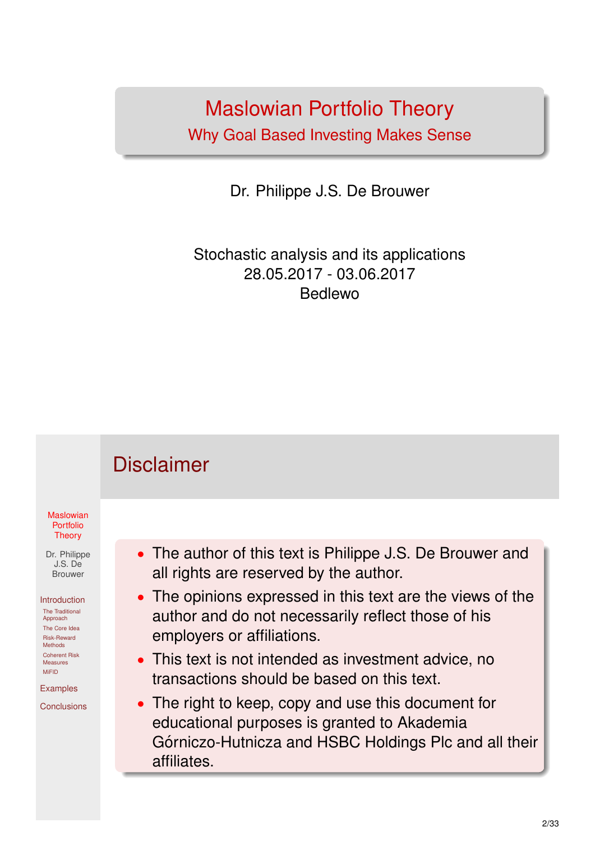### Maslowian Portfolio Theory Why Goal Based Investing Makes Sense

Dr. Philippe J.S. De Brouwer

Stochastic analysis and its applications 28.05.2017 - 03.06.2017 Bedlewo

<span id="page-0-0"></span>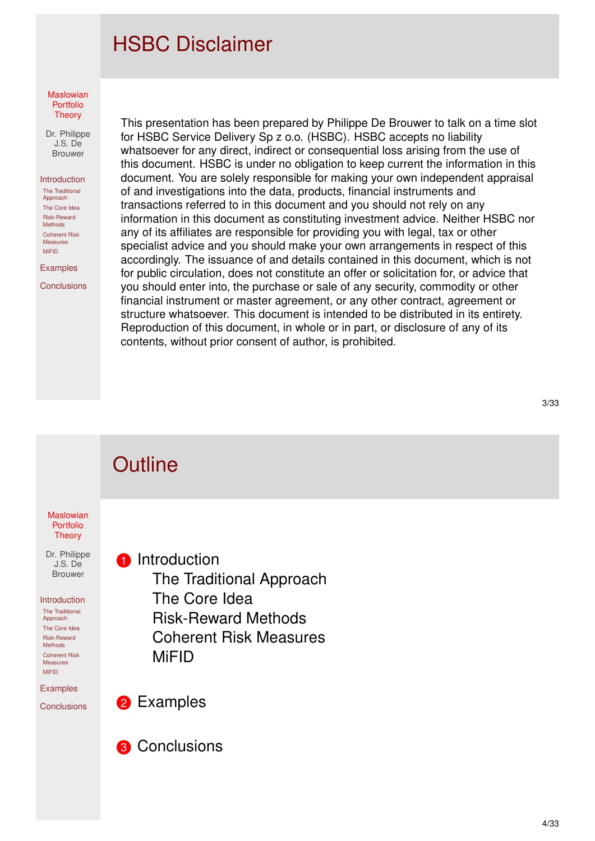## HSBC Disclaimer

#### **Maslowian** Portfolio **Theory**

Dr. Philippe J.S. De Brouwer

#### Introduction

The Traditional Approach The Core Idea Risk-Reward Methods Coherent Risk Measures MiFID

Examples

**Conclusions** 

This presentation has been prepared by Philippe De Brouwer to talk on a time slot for HSBC Service Delivery Sp z o.o. (HSBC). HSBC accepts no liability whatsoever for any direct, indirect or consequential loss arising from the use of this document. HSBC is under no obligation to keep current the information in this document. You are solely responsible for making your own independent appraisal of and investigations into the data, products, financial instruments and transactions referred to in this document and you should not rely on any information in this document as constituting investment advice. Neither HSBC nor any of its affiliates are responsible for providing you with legal, tax or other specialist advice and you should make your own arrangements in respect of this accordingly. The issuance of and details contained in this document, which is not for public circulation, does not constitute an offer or solicitation for, or advice that you should enter into, the purchase or sale of any security, commodity or other financial instrument or master agreement, or any other contract, agreement or structure whatsoever. This document is intended to be distributed in its entirety. Reproduction of this document, in whole or in part, or disclosure of any of its contents, without prior consent of author, is prohibited.

#### **Maslowian** Portfolio **Theory** Dr. Philippe J.S. De Brouwer Introduction The Traditional Approach [T](#page-0-0)he Core Idea Risk-Reward Methods Coherent [Risk](#page-2-0) Measures MiFID [Ex](#page-2-0)amples **[Co](#page-3-0)nclusions Outline 1** Introduction The Traditional Approach The Core Idea Risk-Reward Methods Coherent Risk Measures [MiFID](#page-2-0) **2** [Examples](#page-8-0) **8** Conclusions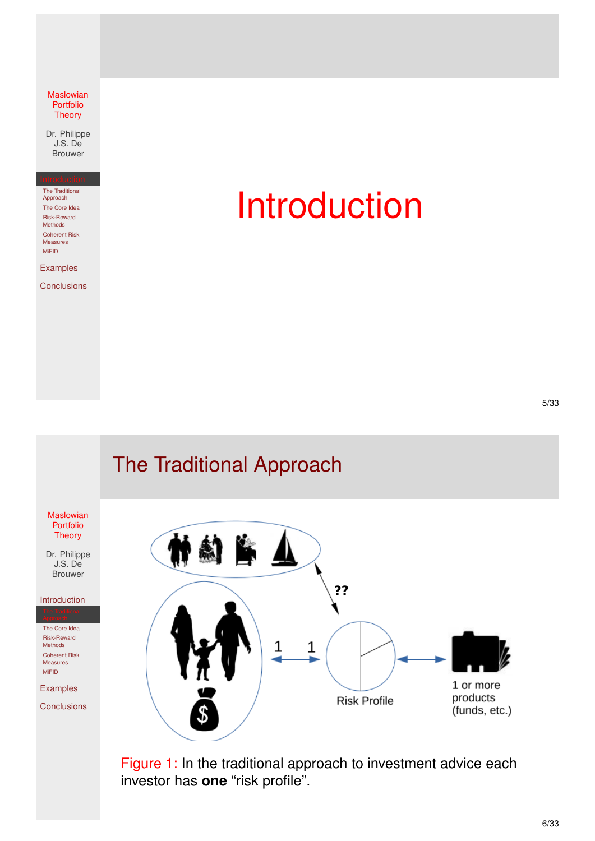Dr. Philippe J.S. De Brouwer

The Traditional Approach The Core Idea Risk-Reward Methods Coherent Risk Measures MiFID

Examples

**Conclusions** 

# Introduction

## The Traditional Approach

<span id="page-2-0"></span>

Figure 1: In the traditional approach to investment advice each investor has **one** "risk profile".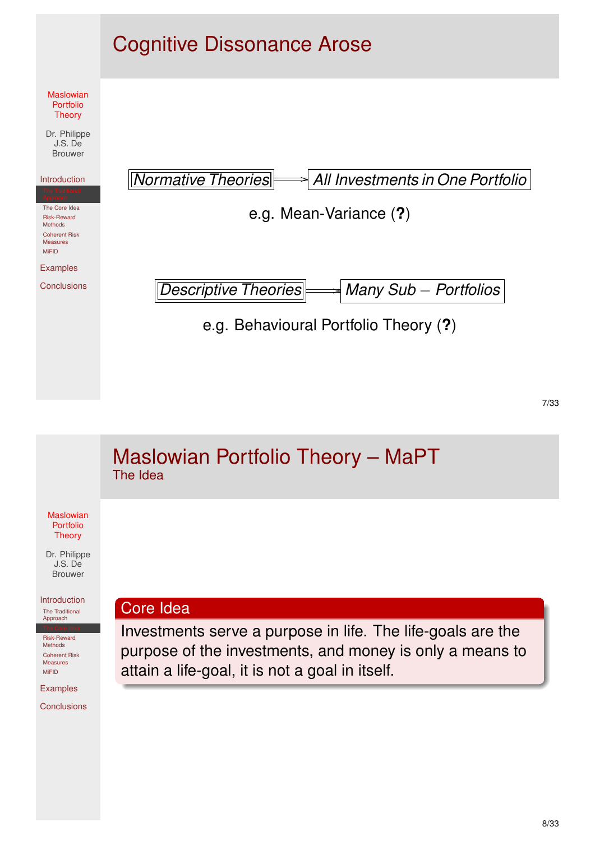

<span id="page-3-0"></span>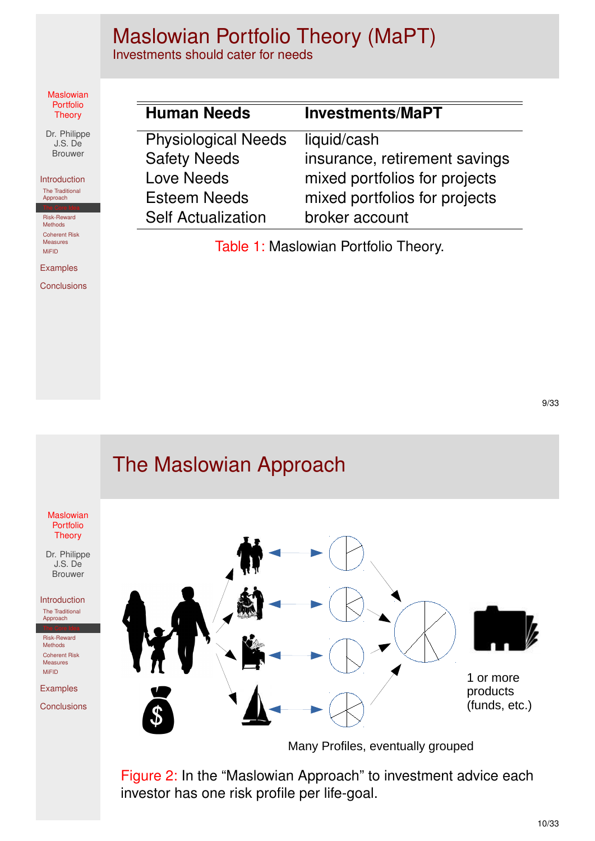## Maslowian Portfolio Theory (MaPT)

Investments should cater for needs

#### Maslowian Portfolio **Theory**

Dr. Philippe J.S. De Brouwer

Introduction The Traditional Approach

Risk-Reward Methods Coherent Risk Measures MiFID

Examples

**Conclusions** 

| <b>Human Needs</b>         | <b>Investments/MaPT</b>       |
|----------------------------|-------------------------------|
| <b>Physiological Needs</b> | liquid/cash                   |
| <b>Safety Needs</b>        | insurance, retirement savings |
| <b>Love Needs</b>          | mixed portfolios for projects |
| <b>Esteem Needs</b>        | mixed portfolios for projects |
| <b>Self Actualization</b>  | broker account                |

Table 1: Maslowian Portfolio Theory.

### **Maslowian** Portfolio **Theory** Dr. Philippe J.S. De Brouwer Introduction The Traditional Approach Risk-Reward Methods Coherent Risk Measures MiFID [Ex](#page-2-0)amples **[Co](#page-3-0)nclusions** The Maslowian Approach Many Profiles, eventually grouped 1 or more products (funds, etc.)

Figure 2: In the "Maslowian Approach" to investment advice each investor has one risk profile per life-goal.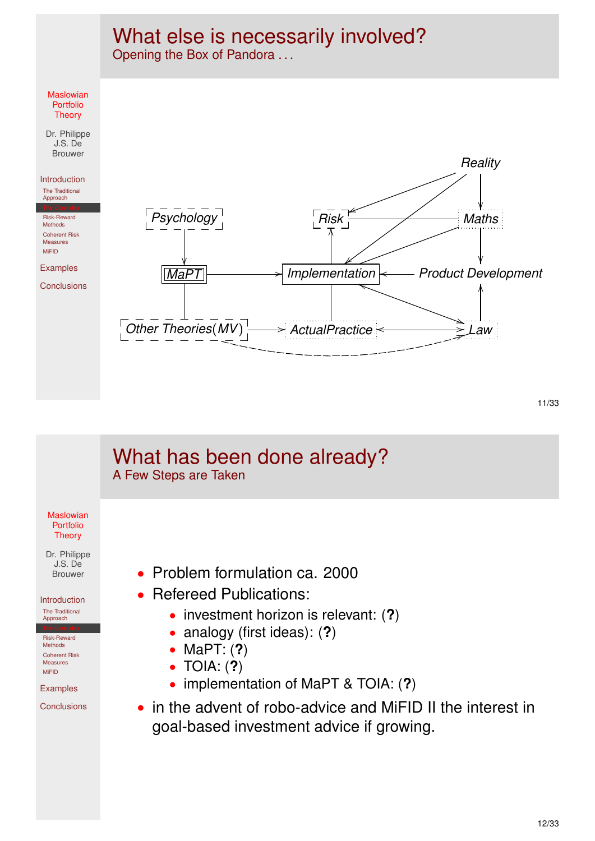## What else is necessarily involved?

Opening the Box of Pandora ...



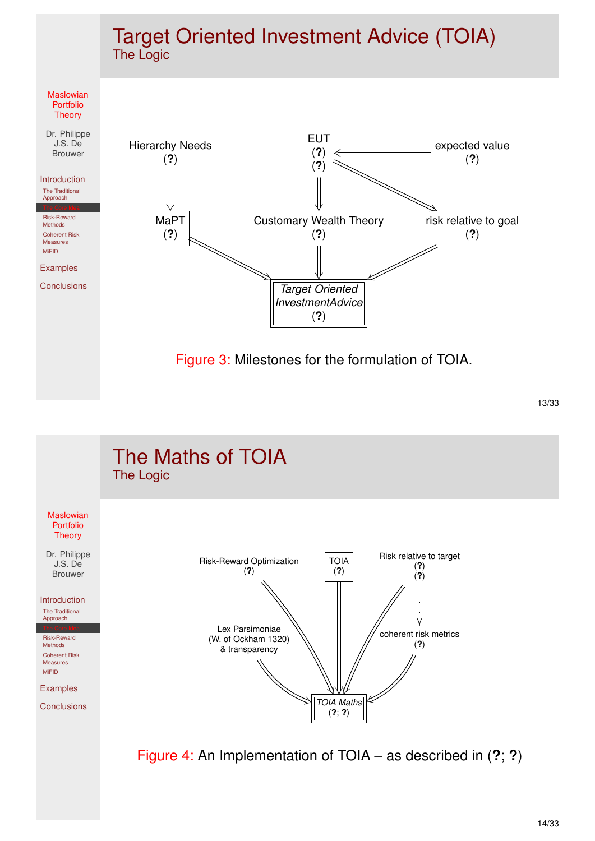### Target Oriented Investment Advice (TOIA) The Logic



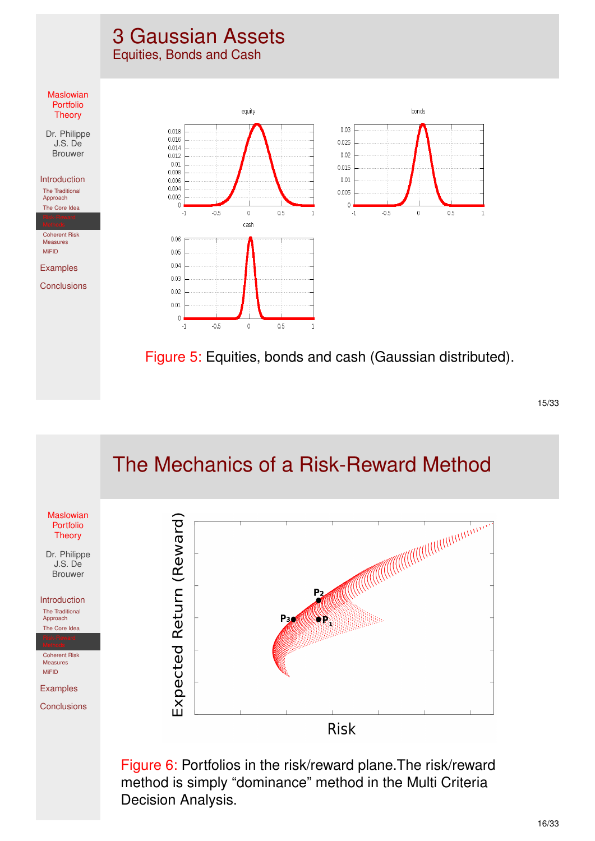## 3 Gaussian Assets

Equities, Bonds and Cash



#### <span id="page-7-0"></span>The Mechanics of a Risk-Reward Method **Maslowian** Expected Return (Reward) Portfolio **Theory** Dr. Philippe J.S. De Brouwer  $P<sub>2</sub>$ Introduction The Traditional D. Hills Approach P<sub>3</sub> [T](#page-0-0)he Core Idea Coherent Risk Measures MiFID [Ex](#page-2-0)amples **[Co](#page-3-0)nclusions Risk**

Figure 6: Portfolios in the risk/reward plane.The risk/reward method is simply "dominance" method in the Multi Criteria Decision Analysis.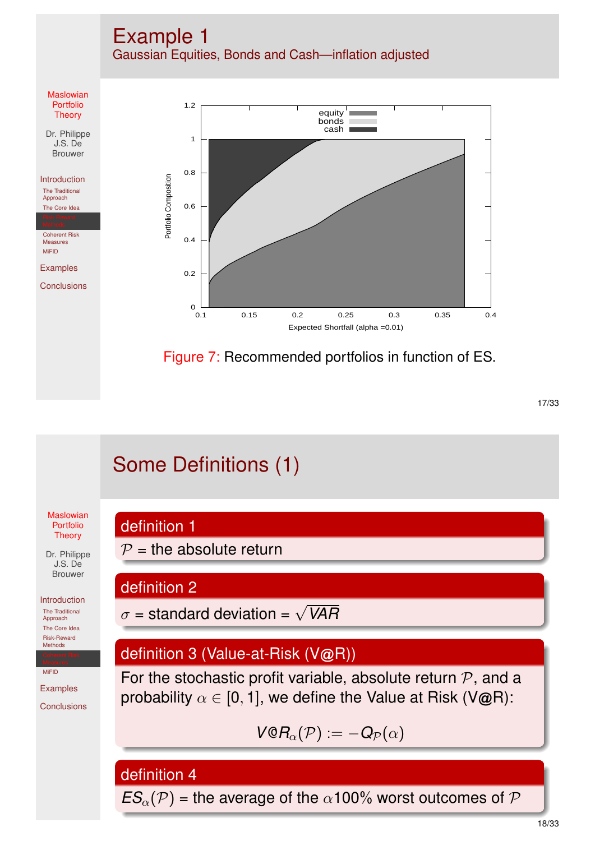

## Some Definitions (1)

**Maslowian** Portfolio **Theory** 

<span id="page-8-0"></span>Dr. Philippe J.S. De Brouwer

Introduction The Traditional

Approach [T](#page-0-0)he Core Idea Risk-Reward Methods

MiFID

[Ex](#page-2-0)amples **[Co](#page-3-0)nclusions**  definition 2

 $P =$  the absolute return

 $\sigma$  = standard deviation =  $\sqrt{VAR}$ 

### definition 3 (Value-at-Risk (V@R))

For the stochastic profit variable, absolute return  $P$ , and a probability  $\alpha \in [0, 1]$ , we define the Value at Risk (V@R):

$$
\textit{V@R}_\alpha(\mathcal{P}) := -\textit{Q}_{\mathcal{P}}(\alpha)
$$

definition 4

definition 1

 $ES_{\alpha}(\mathcal{P})$  = the average of the  $\alpha$ 100% worst outcomes of  $\mathcal P$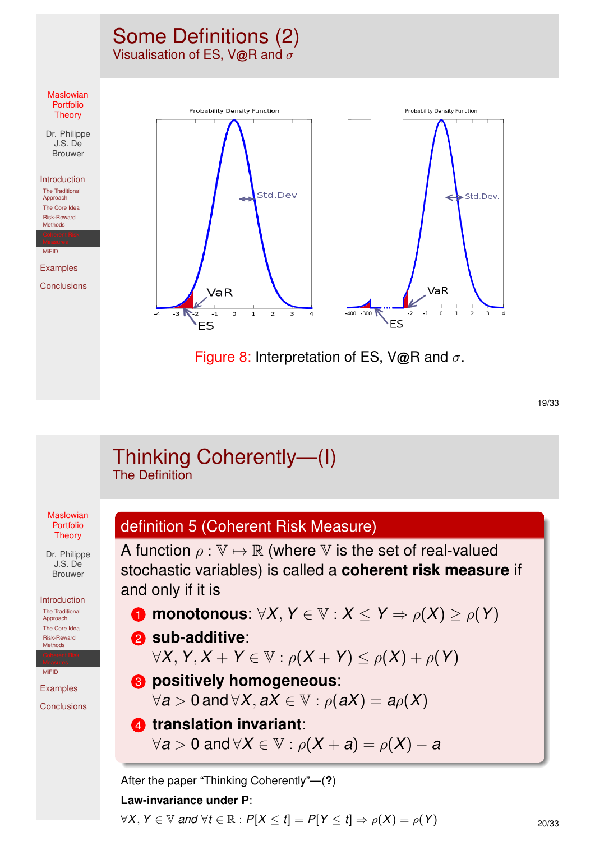### Some Definitions (2) Visualisation of ES, V@R and  $\sigma$



19/33

|                                                                                      | Thinking Coherently-(I)<br><b>The Definition</b>                                                                                                                                                     |
|--------------------------------------------------------------------------------------|------------------------------------------------------------------------------------------------------------------------------------------------------------------------------------------------------|
| <b>Maslowian</b><br>Portfolio<br><b>Theory</b><br>Dr. Philippe                       | definition 5 (Coherent Risk Measure)<br>A function $\rho: \mathbb{V} \mapsto \mathbb{R}$ (where $\mathbb{V}$ is the set of real-valued                                                               |
| J.S. De<br><b>Brouwer</b><br>Introduction                                            | stochastic variables) is called a coherent risk measure if<br>and only if it is                                                                                                                      |
| The Traditional<br>Approach<br>The Core Idea<br><b>Risk-Reward</b><br><b>Methods</b> | <b>n</b> monotonous: $\forall X, Y \in \mathbb{V}: X \leq Y \Rightarrow \rho(X) \geq \rho(Y)$<br><b>2</b> sub-additive:<br>$\forall X, Y, X + Y \in \mathbb{V} : \rho(X + Y) \leq \rho(X) + \rho(Y)$ |
| <b>MiFID</b><br><b>Examples</b><br>Conclusions                                       | <b>8</b> positively homogeneous:<br>$\forall a > 0$ and $\forall X, aX \in \mathbb{V} : \rho(aX) = a\rho(X)$                                                                                         |
|                                                                                      | <b>4</b> translation invariant:<br>$\forall a > 0$ and $\forall X \in \mathbb{V}: \rho(X + a) = \rho(X) - a$                                                                                         |
|                                                                                      | After the paper "Thinking Coherently"—(?)<br>Law-invariance under P:                                                                                                                                 |
|                                                                                      | $\forall X, Y \in \mathbb{V}$ and $\forall t \in \mathbb{R} : P[X \leq t] = P[Y \leq t] \Rightarrow \rho(X) = \rho(Y)$<br>20/3                                                                       |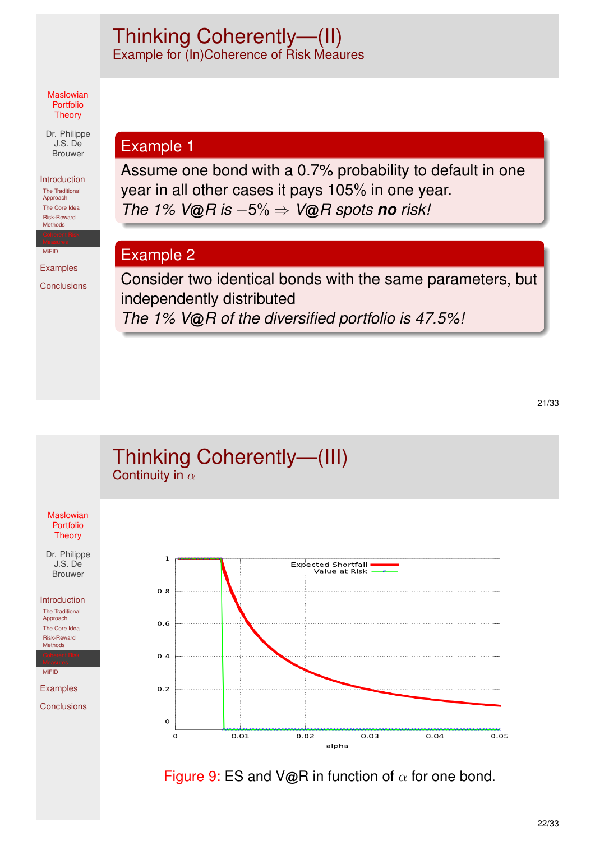### Thinking Coherently—(II) Example for (In)Coherence of Risk Meaures

#### Maslowian Portfolio **Theory**

Dr. Philippe J.S. De Brouwer

### Introduction

The Traditional Approach The Core Idea Risk-Reward Methods

MiFID

Examples

**Conclusions** 

### Example 1

Assume one bond with a 0.7% probability to default in one year in all other cases it pays 105% in one year. *The 1% V*@*R is* −5% ⇒ *V*@*R spots no risk!*

### Example 2

Consider two identical bonds with the same parameters, but independently distributed *The 1% V*@*R of the diversified portfolio is 47.5%!*



Figure 9: ES and V@R in function of  $\alpha$  for one bond.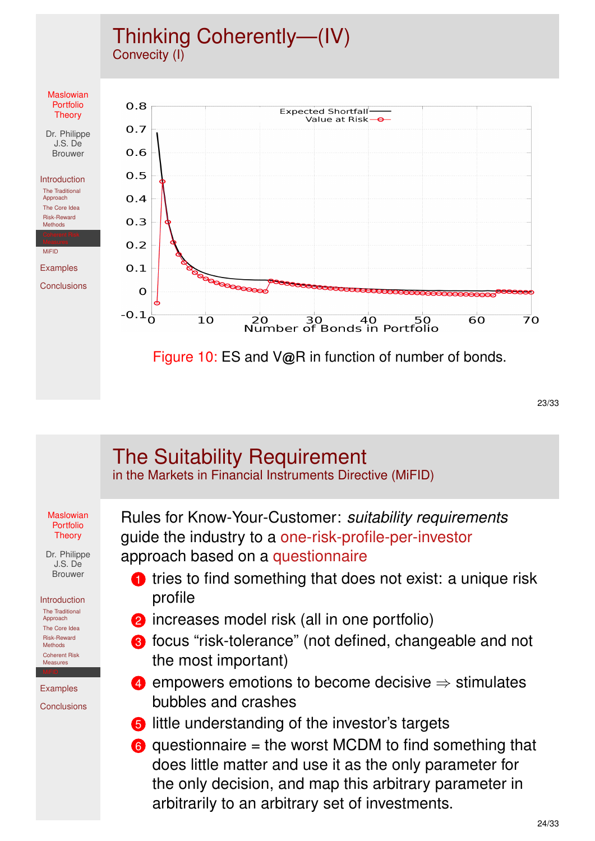### Thinking Coherently—(IV) Convecity (I)



23/33

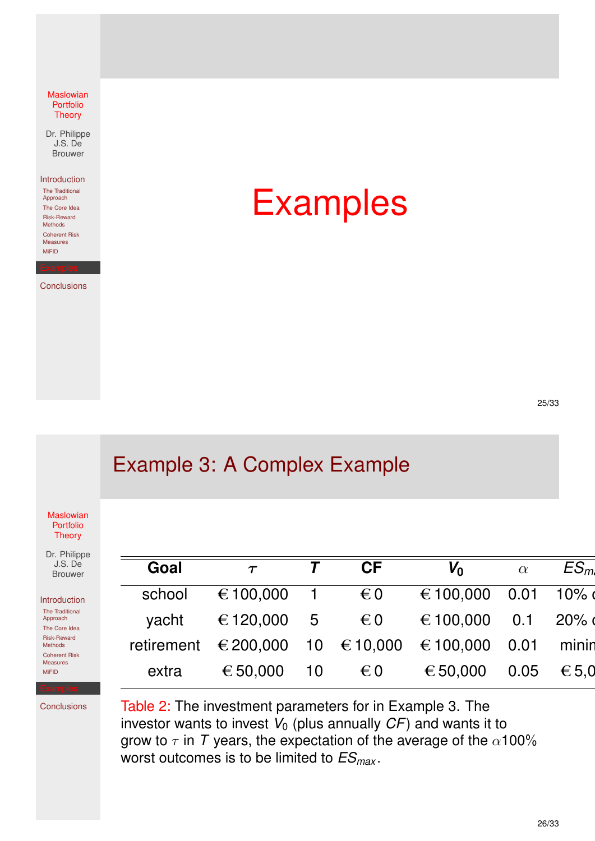Dr. Philippe J.S. De Brouwer

Introduction

The Traditional Approach The Core Idea Risk-Reward Methods Coherent Risk Measures MiFID

**Conclusions** 

Examples

25/33

## Example 3: A Complex Example

**Maslowian** Portfolio **Theory** 

<span id="page-12-0"></span>Dr. Philippe J.S. De Brouwer

Introduction The Traditional Approach [T](#page-0-0)he Core Idea Risk-Reward Methods Coherent Risk Measures

| $\tau$ | <b>CF</b>    | $V_0$                                                   | $\alpha$ | ES <sub>m</sub>                                                                                                      |
|--------|--------------|---------------------------------------------------------|----------|----------------------------------------------------------------------------------------------------------------------|
|        |              |                                                         |          |                                                                                                                      |
|        |              |                                                         |          |                                                                                                                      |
|        |              |                                                         |          |                                                                                                                      |
|        | $\epsilon$ 0 |                                                         |          |                                                                                                                      |
|        |              | € 100,000 1 € 0<br>yacht € 120,000 5 € 0<br>€ 50,000 10 |          | € 100,000 0.01 10%<br>€ 100,000 0.1 20%<br>retirement €200,000 10 €10,000 €100,000 0.01 minin<br>€ 50,000 0.05 € 5.0 |

**[Co](#page-3-0)nclusions** 

MiFID

Table 2: [The investme](#page-12-0)nt parameters for in Example 3. The investor wants to invest  $V_0$  (plus annually  $CF$ ) and wants it to grow to  $\tau$  in *T* years, the expectation of the average of the  $\alpha$ 100% worst outcomes is to be limited to *ESmax* .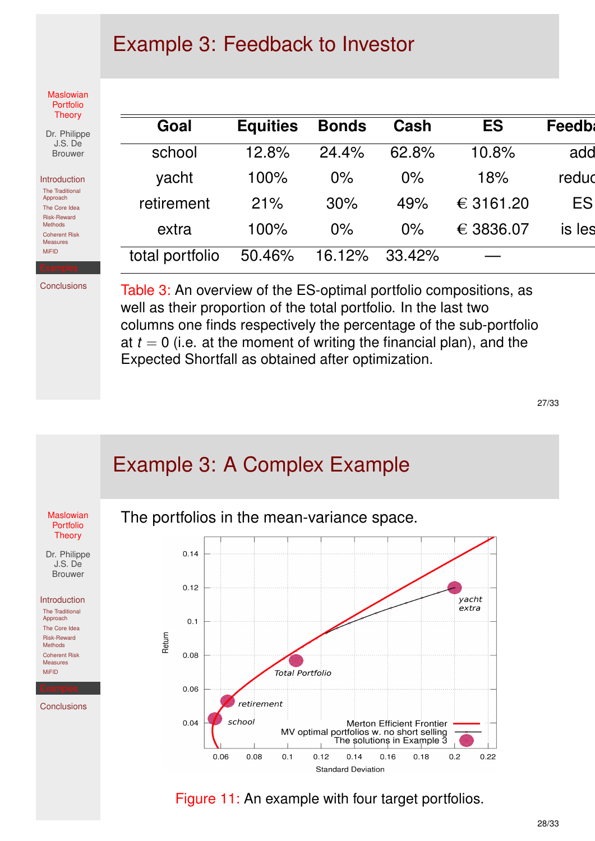## Example 3: Feedback to Investor

**Maslowian** Portfolio **Theory** 

| Dr. Philippe   |
|----------------|
| J.S. Del       |
| <b>Brouwer</b> |

Introduction The Traditional

Approach The Core Idea Risk-Reward Methods Coherent Risk Measures MiFID

**Conclusions** 

| Goal            | <b>Equities</b> | <b>Bonds</b> | Cash   | <b>ES</b> | <b>Feedbl</b> |
|-----------------|-----------------|--------------|--------|-----------|---------------|
| school          | 12.8%           | 24.4%        | 62.8%  | 10.8%     | add           |
| yacht           | 100%            | $0\%$        | $0\%$  | 18%       | redud         |
| retirement      | 21%             | 30%          | 49%    | € 3161.20 | ES            |
| extra           | 100%            | $0\%$        | $0\%$  | € 3836.07 | is les        |
| total portfolio | 50.46%          | 16.12%       | 33.42% |           |               |

Table 3: An overview of the ES-optimal portfolio compositions, as well as their proportion of the total portfolio. In the last two columns one finds respectively the percentage of the sub-portfolio at  $t = 0$  (i.e. at the moment of writing the financial plan), and the Expected Shortfall as obtained after optimization.

27/33



Figure 11: An example with four target portfolios.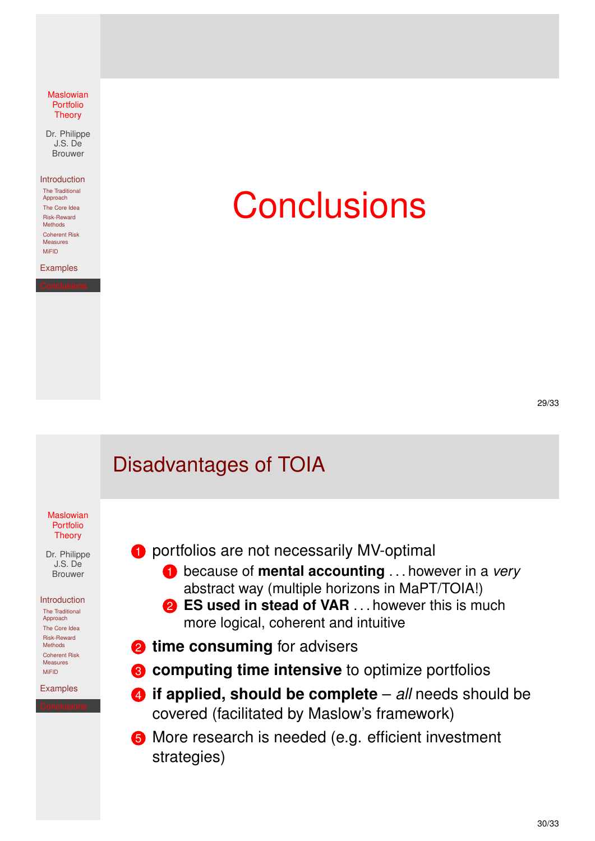Dr. Philippe J.S. De Brouwer

#### Introduction

The Traditional Approach The Core Idea Risk-Reward Methods Coherent Risk Measures MiFID

Examples

# **Conclusions**

29/33

## Disadvantages of TOIA

**Maslowian** Portfolio **Theory** 

<span id="page-14-0"></span>Dr. Philippe J.S. De Brouwer

Introduction The Traditional

Approach [T](#page-0-0)he Core Idea Risk-Reward Methods Coherent Risk Measures MiFID

[Ex](#page-2-0)amples

- **1** portfolios are not necessarily MV-optimal
	- 1 because of **mental accounting** . . . however in a *very* abstract way (multiple horizons in MaPT/TOIA!)
	- **2 ES used in stead of VAR** . . . however this is much more logical, coherent and intuitive
- **2** time consuming for advisers
- **8** computing time intensive to optimize portfolios
- 4 **[if applied, shoul](#page-14-0)d be complete** *all* needs should be covered (facilitated by Maslow's framework)
- **6** More research is needed (e.g. efficient investment strategies)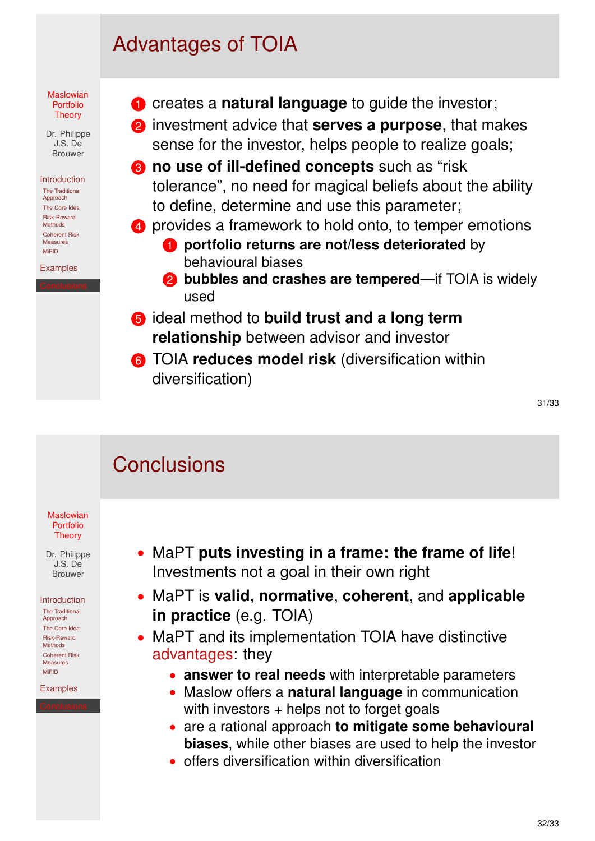## Advantages of TOIA



Risk-Reward Methods Coherent Risk Measures MiFID

Examples

**1** creates a **natural language** to guide the investor;

2 investment advice that **serves a purpose**, that makes sense for the investor, helps people to realize goals;

- **8** no use of ill-defined concepts such as "risk" tolerance", no need for magical beliefs about the ability to define, determine and use this parameter;
- 4 provides a framework to hold onto, to temper emotions **1** portfolio returns are not/less deteriorated by behavioural biases
	- **2 bubbles and crashes are tempered**—if TOIA is widely used
- 5 ideal method to **build trust and a long term relationship** between advisor and investor
- 6 TOIA **reduces model risk** (diversification within diversification)

31/33

## **Conclusions**

#### **Maslowian** Portfolio **Theory**

Dr. Philippe J.S. De Brouwer

#### Introduction

The Traditional Approach [T](#page-0-0)he Core Idea Risk-Reward Methods Coherent Risk Measures MiFID

[Ex](#page-2-0)amples

- MaPT **puts investing in a frame: the frame of life**! Investments not a goal in their own right
- MaPT is **valid**, **normative**, **coherent**, and **applicable in practice** (e.g. TOIA)
- MaPT and its implementation TOIA have distinctive advantages: they
	- **answer to real needs** with interpretable parameters
	- Maslow offers a **natural language** in communication with investors  $+$  helps not to forget goals
	- are a rational approach **to mitigate some behavioural biases**, while other biases are used to help the investor
	- offers diversification within diversification